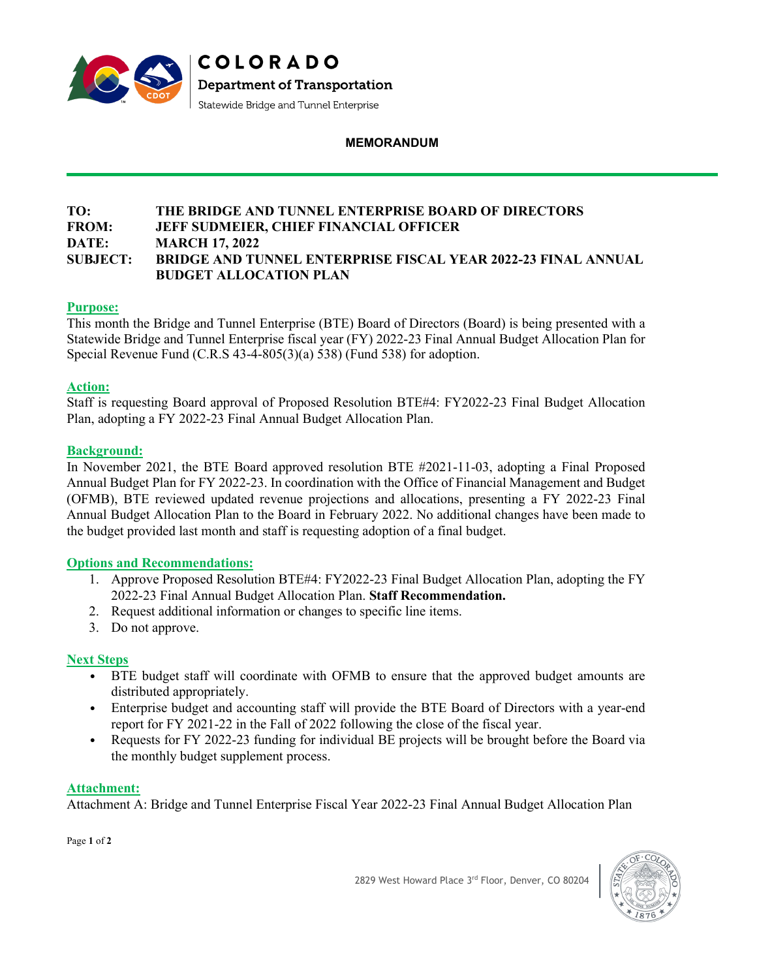

### **MEMORANDUM**

### **TO: THE BRIDGE AND TUNNEL ENTERPRISE BOARD OF DIRECTORS FROM: JEFF SUDMEIER, CHIEF FINANCIAL OFFICER DATE: MARCH 17, 2022 SUBJECT: BRIDGE AND TUNNEL ENTERPRISE FISCAL YEAR 2022-23 FINAL ANNUAL BUDGET ALLOCATION PLAN**

## **Purpose:**

This month the Bridge and Tunnel Enterprise (BTE) Board of Directors (Board) is being presented with a Statewide Bridge and Tunnel Enterprise fiscal year (FY) 2022-23 Final Annual Budget Allocation Plan for Special Revenue Fund (C.R.S 43-4-805(3)(a) 538) (Fund 538) for adoption.

## **Action:**

Staff is requesting Board approval of Proposed Resolution BTE#4: FY2022-23 Final Budget Allocation Plan, adopting a FY 2022-23 Final Annual Budget Allocation Plan.

## **Background:**

In November 2021, the BTE Board approved resolution BTE #2021-11-03, adopting a Final Proposed Annual Budget Plan for FY 2022-23. In coordination with the Office of Financial Management and Budget (OFMB), BTE reviewed updated revenue projections and allocations, presenting a FY 2022-23 Final Annual Budget Allocation Plan to the Board in February 2022. No additional changes have been made to the budget provided last month and staff is requesting adoption of a final budget.

### **Options and Recommendations:**

- 1. Approve Proposed Resolution BTE#4: FY2022-23 Final Budget Allocation Plan, adopting the FY 2022-23 Final Annual Budget Allocation Plan. **Staff Recommendation.**
- 2. Request additional information or changes to specific line items.
- 3. Do not approve.

## **Next Steps**

- BTE budget staff will coordinate with OFMB to ensure that the approved budget amounts are distributed appropriately.
- Enterprise budget and accounting staff will provide the BTE Board of Directors with a year-end report for FY 2021-22 in the Fall of 2022 following the close of the fiscal year.
- Requests for FY 2022-23 funding for individual BE projects will be brought before the Board via the monthly budget supplement process.

### **Attachment:**

Attachment A: Bridge and Tunnel Enterprise Fiscal Year 2022-23 Final Annual Budget Allocation Plan

Page **1** of **2**